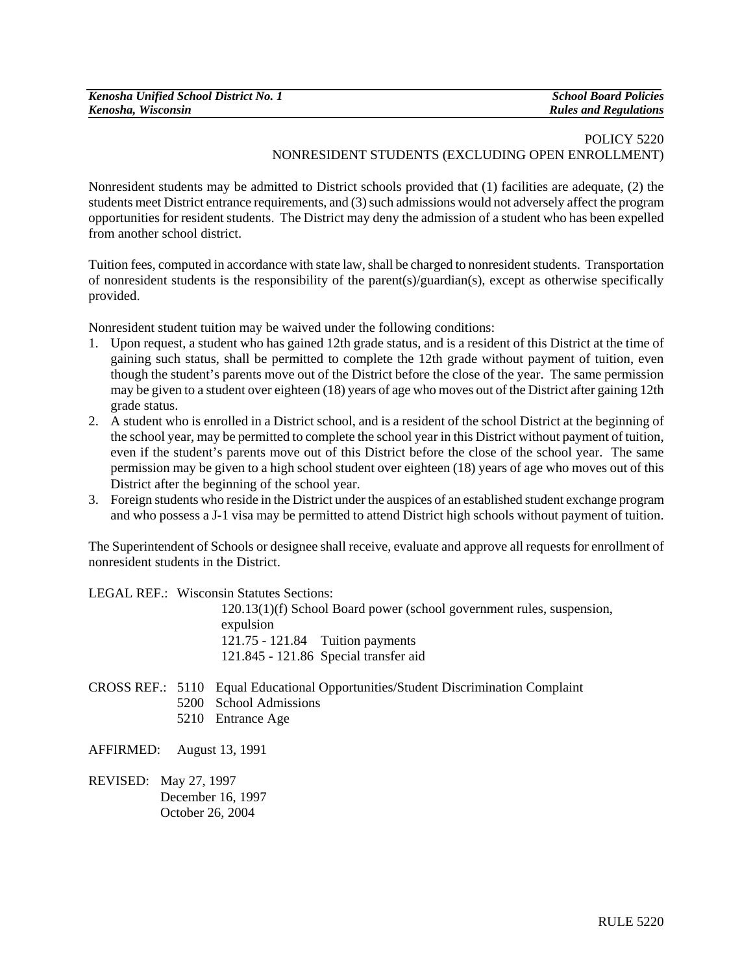| Kenosha Unified School District No. 1 | <b>School Board Policies</b> |
|---------------------------------------|------------------------------|
| Kenosha, Wisconsin                    | <b>Rules and Regulations</b> |

## POLICY 5220 NONRESIDENT STUDENTS (EXCLUDING OPEN ENROLLMENT)

Nonresident students may be admitted to District schools provided that (1) facilities are adequate, (2) the students meet District entrance requirements, and (3) such admissions would not adversely affect the program opportunities for resident students. The District may deny the admission of a student who has been expelled from another school district.

Tuition fees, computed in accordance with state law, shall be charged to nonresident students. Transportation of nonresident students is the responsibility of the parent(s)/guardian(s), except as otherwise specifically provided.

Nonresident student tuition may be waived under the following conditions:

- 1. Upon request, a student who has gained 12th grade status, and is a resident of this District at the time of gaining such status, shall be permitted to complete the 12th grade without payment of tuition, even though the student's parents move out of the District before the close of the year. The same permission may be given to a student over eighteen (18) years of age who moves out of the District after gaining 12th grade status.
- 2. A student who is enrolled in a District school, and is a resident of the school District at the beginning of the school year, may be permitted to complete the school year in this District without payment of tuition, even if the student's parents move out of this District before the close of the school year. The same permission may be given to a high school student over eighteen (18) years of age who moves out of this District after the beginning of the school year.
- 3. Foreign students who reside in the District under the auspices of an established student exchange program and who possess a J-1 visa may be permitted to attend District high schools without payment of tuition.

The Superintendent of Schools or designee shall receive, evaluate and approve all requests for enrollment of nonresident students in the District.

LEGAL REF.: Wisconsin Statutes Sections:

120.13(1)(f) School Board power (school government rules, suspension, expulsion 121.75 - 121.84 Tuition payments 121.845 - 121.86 Special transfer aid

- CROSS REF.: 5110 Equal Educational Opportunities/Student Discrimination Complaint
	- 5200 School Admissions
	- 5210 Entrance Age

AFFIRMED: August 13, 1991

REVISED: May 27, 1997 December 16, 1997 October 26, 2004